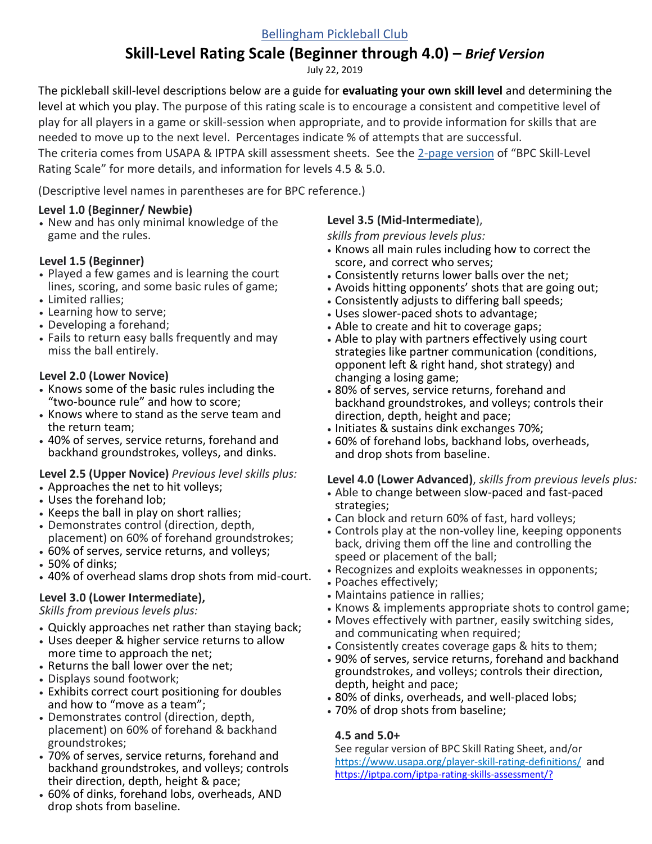## [Bellingham Pickleball Club](https://bellinghampickleball.org/)

# **Skill-Level Rating Scale (Beginner through 4.0) –** *Brief Version*

July 22, 2019

The pickleball skill-level descriptions below are a guide for **evaluating your own skill level** and determining the level at which you play. The purpose of this rating scale is to encourage a consistent and competitive level of play for all players in a game or skill-session when appropriate, and to provide information for skills that are needed to move up to the next level. Percentages indicate % of attempts that are successful.

The criteria comes from USAPA & IPTPA skill assessment sheets. See the 2-page [version](https://bellinghampickleball.org/rules-and-organizations/) of "BPC Skill-Level Rating Scale" for more details, and information for levels 4.5 & 5.0.

(Descriptive level names in parentheses are for BPC reference.)

### **Level 1.0 (Beginner/ Newbie)**

• New and has only minimal knowledge of the game and the rules.

### **Level 1.5 (Beginner)**

- Played a few games and is learning the court lines, scoring, and some basic rules of game; • Limited rallies;
- Learning how to serve;
- Developing a forehand;
- Fails to return easy balls frequently and may
- miss the ball entirely.

### **Level 2.0 (Lower Novice)**

- Knows some of the basic rules including the "two-bounce rule" and how to score;
- Knows where to stand as the serve team and the return team;
- 40% of serves, service returns, forehand and backhand groundstrokes, volleys, and dinks.

### **Level 2.5 (Upper Novice)** *Previous level skills plus:*

- Approaches the net to hit volleys;
- Uses the forehand lob;
- Keeps the ball in play on short rallies;
- Demonstrates control (direction, depth, placement) on 60% of forehand groundstrokes;
- 60% of serves, service returns, and volleys;
- 50% of dinks;
- 40% of overhead slams drop shots from mid-court.

# **Level 3.0 (Lower Intermediate),**

*Skills from previous levels plus:*

- Quickly approaches net rather than staying back;
- Uses deeper & higher service returns to allow more time to approach the net;
- Returns the ball lower over the net;
- Displays sound footwork;
- Exhibits correct court positioning for doubles and how to "move as a team";
- Demonstrates control (direction, depth, placement) on 60% of forehand & backhand groundstrokes;
- 70% of serves, service returns, forehand and backhand groundstrokes, and volleys; controls their direction, depth, height & pace;
- 60% of dinks, forehand lobs, overheads, AND drop shots from baseline.

### **Level 3.5 (Mid-Intermediate**),

*skills from previous levels plus:*

- Knows all main rules including how to correct the score, and correct who serves;
- Consistently returns lower balls over the net;
- Avoids hitting opponents' shots that are going out;
- Consistently adjusts to differing ball speeds;
- Uses slower-paced shots to advantage;
- Able to create and hit to coverage gaps;
- Able to play with partners effectively using court strategies like partner communication (conditions, opponent left & right hand, shot strategy) and changing a losing game;
- 80% of serves, service returns, forehand and backhand groundstrokes, and volleys; controls their direction, depth, height and pace;
- Initiates & sustains dink exchanges 70%;
- 60% of forehand lobs, backhand lobs, overheads, and drop shots from baseline.

### **Level 4.0 (Lower Advanced)**, *skills from previous levels plus:*

- Able to change between slow-paced and fast-paced strategies;
- Can block and return 60% of fast, hard volleys;
- Controls play at the non-volley line, keeping opponents back, driving them off the line and controlling the speed or placement of the ball;
- Recognizes and exploits weaknesses in opponents;
- Poaches effectively;
- Maintains patience in rallies;
- Knows & implements appropriate shots to control game;
- Moves effectively with partner, easily switching sides, and communicating when required;
- Consistently creates coverage gaps & hits to them;
- 90% of serves, service returns, forehand and backhand groundstrokes, and volleys; controls their direction, depth, height and pace;
- 80% of dinks, overheads, and well-placed lobs;
- 70% of drop shots from baseline;

### **4.5 and 5.0+**

See regular version of BPC Skill Rating Sheet, and/or <https://www.usapa.org/player-skill-rating-definitions/> and <https://iptpa.com/iptpa-rating-skills-assessment/?>